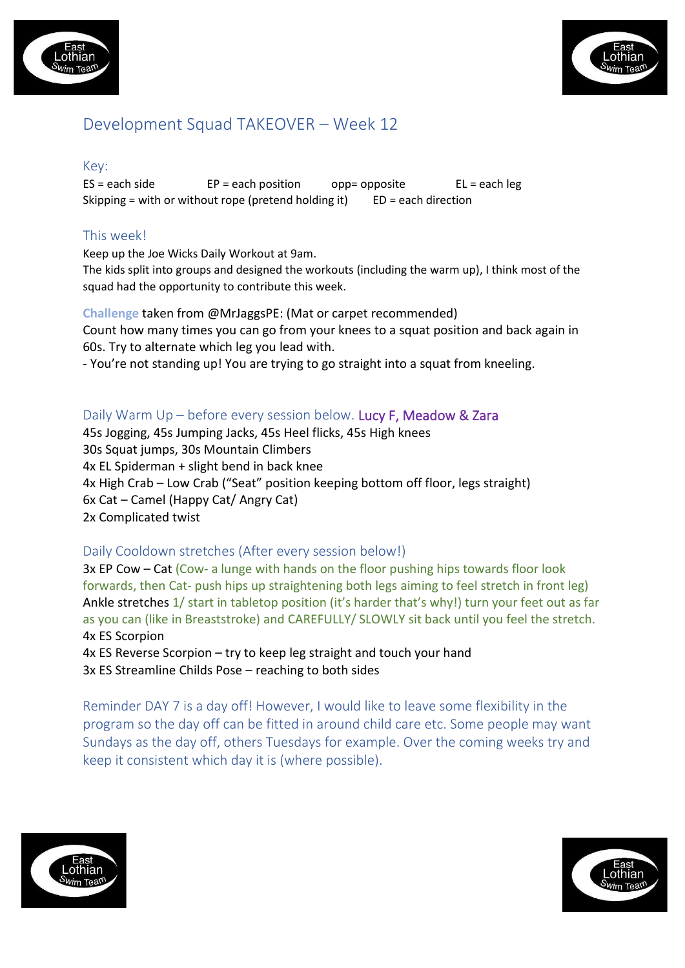



# Development Squad TAKEOVER – Week 12

#### Key:

 $ES = each side$   $EP = each position$  opp= opposite  $EL = each \, leg$ Skipping = with or without rope (pretend holding it)  $ED = each direction$ 

# This week!

Keep up the Joe Wicks Daily Workout at 9am. The kids split into groups and designed the workouts (including the warm up), I think most of the squad had the opportunity to contribute this week.

**Challenge** taken from @MrJaggsPE: (Mat or carpet recommended) Count how many times you can go from your knees to a squat position and back again in 60s. Try to alternate which leg you lead with.

- You're not standing up! You are trying to go straight into a squat from kneeling.

### Daily Warm Up – before every session below. Lucy F, Meadow & Zara

45s Jogging, 45s Jumping Jacks, 45s Heel flicks, 45s High knees 30s Squat jumps, 30s Mountain Climbers 4x EL Spiderman + slight bend in back knee 4x High Crab – Low Crab ("Seat" position keeping bottom off floor, legs straight) 6x Cat – Camel (Happy Cat/ Angry Cat) 2x Complicated twist

### Daily Cooldown stretches (After every session below!)

3x EP Cow – Cat (Cow- a lunge with hands on the floor pushing hips towards floor look forwards, then Cat- push hips up straightening both legs aiming to feel stretch in front leg) Ankle stretches 1/ start in tabletop position (it's harder that's why!) turn your feet out as far as you can (like in Breaststroke) and CAREFULLY/ SLOWLY sit back until you feel the stretch. 4x ES Scorpion

4x ES Reverse Scorpion – try to keep leg straight and touch your hand 3x ES Streamline Childs Pose – reaching to both sides

Reminder DAY 7 is a day off! However, I would like to leave some flexibility in the program so the day off can be fitted in around child care etc. Some people may want Sundays as the day off, others Tuesdays for example. Over the coming weeks try and keep it consistent which day it is (where possible).



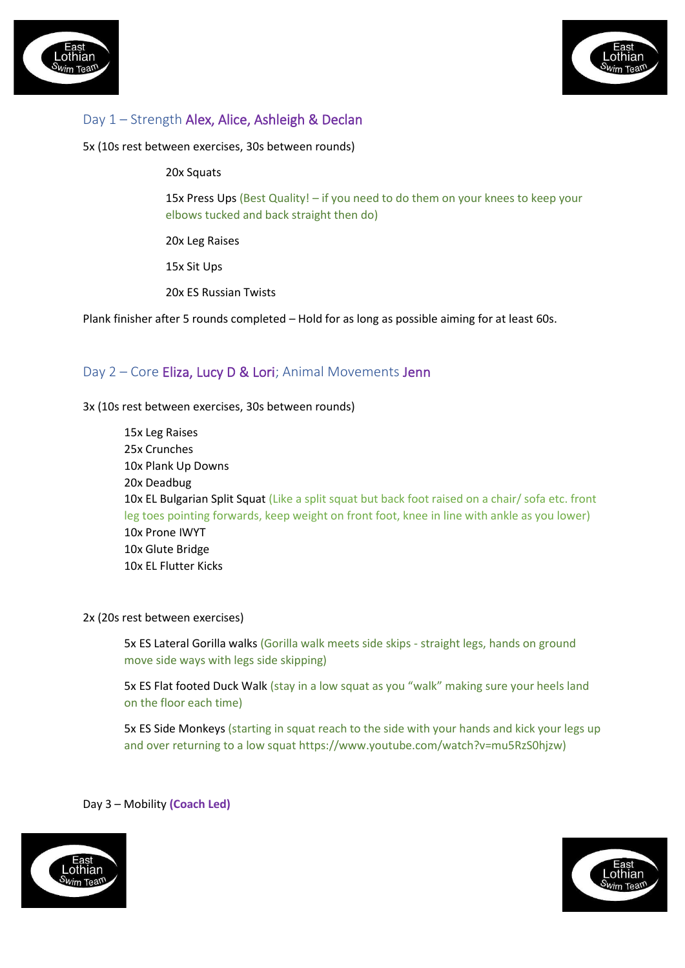



# Day 1 – Strength Alex, Alice, Ashleigh & Declan

5x (10s rest between exercises, 30s between rounds)

#### 20x Squats

15x Press Ups (Best Quality! – if you need to do them on your knees to keep your elbows tucked and back straight then do)

20x Leg Raises

15x Sit Ups

20x ES Russian Twists

Plank finisher after 5 rounds completed – Hold for as long as possible aiming for at least 60s.

### Day 2 – Core Eliza, Lucy D & Lori; Animal Movements Jenn

3x (10s rest between exercises, 30s between rounds)

15x Leg Raises 25x Crunches 10x Plank Up Downs 20x Deadbug 10x EL Bulgarian Split Squat (Like a split squat but back foot raised on a chair/ sofa etc. front leg toes pointing forwards, keep weight on front foot, knee in line with ankle as you lower) 10x Prone IWYT 10x Glute Bridge 10x EL Flutter Kicks

#### 2x (20s rest between exercises)

5x ES Lateral Gorilla walks (Gorilla walk meets side skips - straight legs, hands on ground move side ways with legs side skipping)

5x ES Flat footed Duck Walk (stay in a low squat as you "walk" making sure your heels land on the floor each time)

5x ES Side Monkeys (starting in squat reach to the side with your hands and kick your legs up and over returning to a low squat https://www.youtube.com/watch?v=mu5RzS0hjzw)

#### Day 3 – Mobility **(Coach Led)**